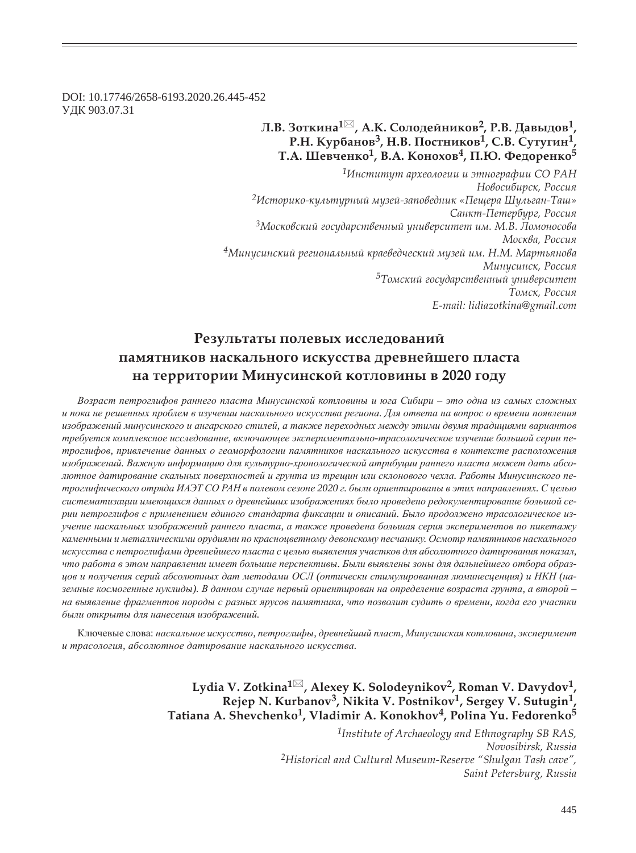DOI: 10.17746/2658-6193.2020.26.445-452 ɍȾɄ 903.07.31

# **ǹ.ǰ. ǵȜȠȘȖțȎ<sup>1</sup> , Ǯ.Ǹ. ǿȜșȜȒȓȗțȖȘȜȐ2, Ǿ.ǰ. DzȎȐȩȒȜȐ1, Р.Н. Курбанов<sup>3</sup>, Н.В. Постников<sup>1</sup>, С.В. Сутугин<sup>1</sup> Ȁ.Ǯ. ȆȓȐȥȓțȘȜ1, ǰ.Ǯ. ǸȜțȜȣȜȐ4, ǽ.Ȍ. ȂȓȒȜȞȓțȘȜ<sup>5</sup>**

*<sup>1</sup>ǶțȟȠȖȠȡȠ ȎȞȣȓȜșȜȑȖȖ Ȗ ȫȠțȜȑȞȎȢȖȖ ǿǼ ǾǮǻ*  $H$ овосибирск, Россия *<sup>2</sup>ǶȟȠȜȞȖȘȜ-ȘȡșȪȠȡȞțȩȗ Țȡȕȓȗ-ȕȎȝȜȐȓȒțȖȘ «ǽȓȧȓȞȎ ȆȡșȪȑȎț-ȀȎȦ» ǿȎțȘȠ-ǽȓȠȓȞȏȡȞȑ, ǾȜȟȟȖȭ* <sup>3</sup>Московский государственный университет им. М.В. Ломоносова Москва, Россия *<sup>4</sup>ǺȖțȡȟȖțȟȘȖȗ ȞȓȑȖȜțȎșȪțȩȗ ȘȞȎȓȐȓȒȥȓȟȘȖȗ Țȡȕȓȗ ȖȚ. ǻ.Ǻ. ǺȎȞȠȪȭțȜȐȎ* Минусинск, Россия <sup>5</sup>Томский государственный университет Томск, Россия *E-mail: lidiazotkina@gmail.com*

# Результаты полевых исследований памятников наскального искусства древнейшего пласта **на территории Минусинской котловины в 2020 году**

Возраст петроглифов раннего пласта Минусинской котловины и юга Сибири – это одна из самых сложных и пока не решенных проблем в изучении наскального искусства региона. Для ответа на вопрос о времени появления изображений минусинского и ангарского стилей, а также переходных между этими двумя традициями вариантов требуется комплексное исследование, включающее экспериментально-трасологическое изучение большой серии петроглифов, привлечение данных о геоморфологии памятников наскального искусства в контексте расположения изображений. Важную информацию для культурно-хронологической атрибуции раннего пласта может дать абсолютное датирование скальных поверхностей и грунта из трещин или склонового чехла. Работы Минусинского петроглифического отряда ИАЭТ СО РАН в полевом сезоне 2020 г. были ориентированы в этих направлениях. С целью систематизации имеющихся данных о древнейших изображениях было проведено редокументирование большой серии петроглифов с применением единого стандарта фиксации и описаний. Было продолжено трасологическое изучение наскальных изображений раннего пласта, а также проведена большая серия экспериментов по пикетажу каменными и металлическими орудиями по красноцветному девонскому песчанику. Осмотр памятников наскального *ɢɫɤɭɫɫɬɜɚ ɫ ɩɟɬɪɨɝɥɢɮɚɦɢ ɞɪɟɜɧɟɣɲɟɝɨ ɩɥɚɫɬɚ ɫ ɰɟɥɶɸ ɜɵɹɜɥɟɧɢɹ ɭɱɚɫɬɤɨɜ ɞɥɹ ɚɛɫɨɥɸɬɧɨɝɨ ɞɚɬɢɪɨɜɚɧɢɹ ɩɨɤɚɡɚɥ,*  что работа в этом направлении имеет большие перспективы. Были выявлены зоны для дальнейшего отбора образиов и получения серий абсолютных дат методами ОСЛ (оптически стимулированная люминесиениия) и НКН (наземные космогенные нуклиды). В данном случае первый ориентирован на определение возраста грунта, а второй на выявление фрагментов породы с разных ярусов памятника, что позволит судить о времени, когда его участки  $6$ ыли открыты для нанесения изображений.

Ключевые слова: наскальное искусство, петроглифы, древнейший пласт, Минусинская котловина, эксперимент и трасология, абсолютное датирование наскального искусства.

> **Lydia V. Zotkina<sup>1</sup> , Alexey K. Solodeynikov2, Roman V. Davydov1,**  Rejep N. Kurbanov<sup>3</sup>, Nikita V. Postnikov<sup>1</sup>, Sergey V. Sutugin<sup>1</sup> **Tatiana A. Shevchenko1, Vladimir A. Konokhov4, Polina Yu. Fedorenko5**

> > *1Institute of Archaeology and Ethnography SB RAS, Novosibirsk, Russia 2Historical and Cultural Museum-Reserve "Shulgan Tash cave", Saint Petersburg, Russia*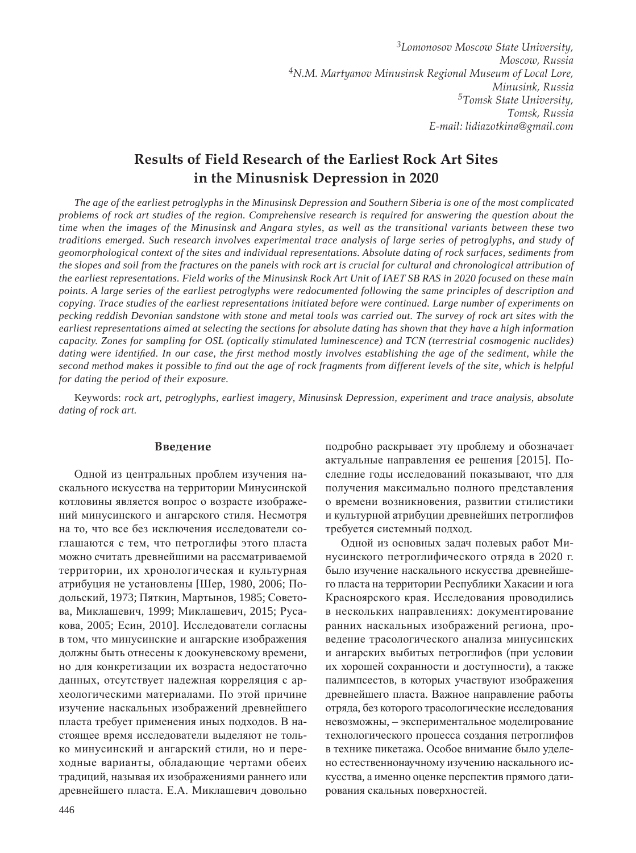# **Results of Field Research of the Earliest Rock Art Sites in the Minusnisk Depression in 2020**

*The age of the earliest petroglyphs in the Minusinsk Depression and Southern Siberia is one of the most complicated problems of rock art studies of the region. Comprehensive research is required for answering the question about the time when the images of the Minusinsk and Angara styles, as well as the transitional variants between these two traditions emerged. Such research involves experimental trace analysis of large series of petroglyphs, and study of geomorphological context of the sites and individual representations. Absolute dating of rock surfaces, sediments from the slopes and soil from the fractures on the panels with rock art is crucial for cultural and chronological attribution of the earliest representations. Field works of the Minusinsk Rock Art Unit of IAEɌ SB RAS in 2020 focused on these main points. A large series of the earliest petroglyphs were redocumented following the same principles of description and copying. Trace studies of the earliest representations initiated before were continued. Large number of experiments on pecking reddish Devonian sandstone with stone and metal tools was carried out. The survey of rock art sites with the earliest representations aimed at selecting the sections for absolute dating has shown that they have a high information capacity. Zones for sampling for OSL (optically stimulated luminescence) and TɋN (terrestrial cosmogenic nuclides)*  dating were identified. In our case, the first method mostly involves establishing the age of the sediment, while the *second method makes it possible to ¿ nd out the age of rock fragments from different levels of the site, which is helpful for dating the period of their exposure.*

Keywords: *rock art, petroglyphs, earliest imagery, Minusinsk Depression, experiment and trace analysis, absolute dating of rock art.*

#### **Введение**

Одной из центральных проблем изучения наскального искусства на территории Минусинской котловины является вопрос о возрасте изображений минусинского и ангарского стиля. Несмотря на то, что все без исключения исследователи соглашаются с тем, что петроглифы этого пласта можно считать древнейшими на рассматриваемой территории, их хронологическая и культурная атрибуция не установлены [Шер, 1980, 2006; Подольский, 1973; Пяткин, Мартынов, 1985; Советова, Миклашевич, 1999; Миклашевич, 2015; Русакова, 2005; Есин, 2010]. Исследователи согласны в том, что минусинские и ангарские изображения должны быть отнесены к доокуневскому времени, но для конкретизации их возраста недостаточно данных, отсутствует надежная корреляция с археологическими материалами. По этой причине изучение наскальных изображений древнейшего пласта требует применения иных подходов. В настоящее время исследователи выделяют не только минусинский и ангарский стили, но и переходные варианты, обладающие чертами обеих традиций, называя их изображениями раннего или древнейшего пласта. Е.А. Миклашевич довольно

подробно раскрывает эту проблему и обозначает актуальные направления ее решения [2015]. Последние годы исследований показывают, что для получения максимально полного представления о времени возникновения, развитии стилистики и культурной атрибуции древнейших петроглифов требуется системный подход.

Одной из основных задач полевых работ Минусинского петроглифического отряда в 2020 г. было изучение наскального искусства древнейшего пласта на территории Республики Хакасии и юга Красноярского края. Исследования проводились в нескольких направлениях: документирование ранних наскальных изображений региона, проведение трасологического анализа минусинских и ангарских выбитых петроглифов (при условии их хорошей сохранности и доступности), а также палимпсестов, в которых участвуют изображения древнейшего пласта. Важное направление работы отряда, без которого трасологические исследования невозможны, – экспериментальное моделирование технологического процесса создания петроглифов в технике пикетажа. Особое внимание было уделено естественнонаучному изучению наскального искусства, а именно оценке перспектив прямого датирования скальных поверхностей.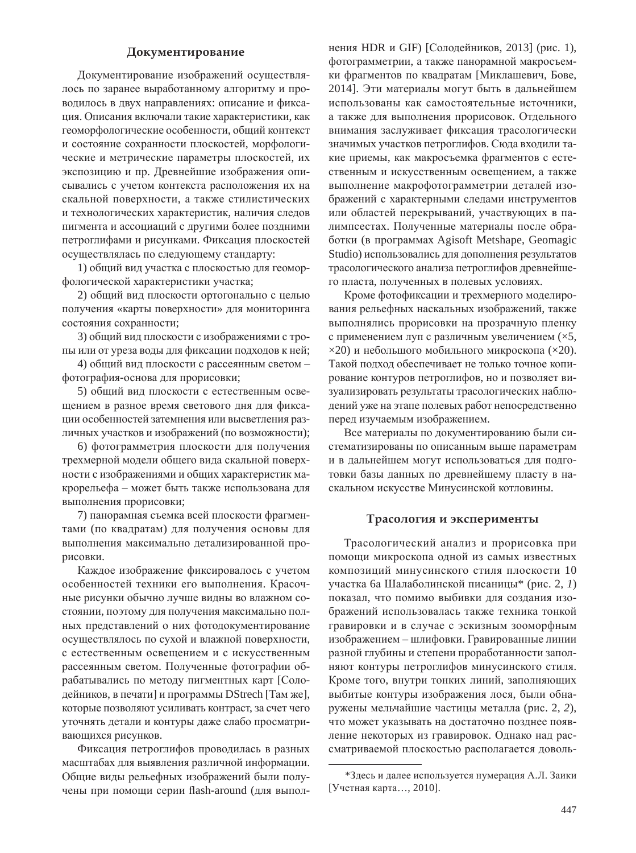# Документирование

Документирование изображений осуществлялось по заранее выработанному алгоритму и проводилось в двух направлениях: описание и фиксация. Описания включали такие характеристики, как геоморфологические особенности, общий контекст и состояние сохранности плоскостей, морфологические и метрические параметры плоскостей, их экспозицию и пр. Древнейшие изображения описывались с учетом контекста расположения их на скальной поверхности, а также стилистических и технологических характеристик, наличия следов пигмента и ассоциаций с другими более поздними петроглифами и рисунками. Фиксация плоскостей осуществлялась по следующему стандарту:

1) общий вид участка с плоскостью для геоморфологической характеристики участка;

2) общий вид плоскости ортогонально с целью получения «карты поверхности» для мониторинга состояния сохранности;

3) общий вид плоскости с изображениями с тропы или от уреза воды для фиксации подходов к ней;

4) общий вид плоскости с рассеянным светом фотография-основа для прорисовки;

5) общий вид плоскости с естественным освещением в разное время светового дня для фиксации особенностей затемнения или высветления различных участков и изображений (по возможности);

6) фотограмметрия плоскости для получения трехмерной модели общего вида скальной поверхности с изображениями и общих характеристик макрорельефа – может быть также использована для выполнения прорисовки;

7) панорамная съемка всей плоскости фрагментами (по квадратам) для получения основы для выполнения максимально детализированной прорисовки.

Каждое изображение фиксировалось с учетом особенностей техники его выполнения. Красочные рисунки обычно лучше видны во влажном состоянии, поэтому для получения максимально полных представлений о них фотодокументирование осуществлялось по сухой и влажной поверхности, с естественным освещением и с искусственным рассеянным светом. Полученные фотографии обрабатывались по методу пигментных карт [Солодейников, в печати] и программы DStrech [Там же], которые позволяют усиливать контраст, за счет чего уточнять детали и контуры даже слабо просматривающихся рисунков.

Фиксация петроглифов проводилась в разных масштабах для выявления различной информации. Общие виды рельефных изображений были получены при помощи серии flash-around (для выполнения HDR и GIF) [Солодейников, 2013] (рис. 1), фотограмметрии, а также панорамной макросъемки фрагментов по квадратам [Миклашевич, Бове, 2014]. Эти материалы могут быть в дальнейшем использованы как самостоятельные источники. а также для выполнения прорисовок. Отдельного внимания заслуживает фиксация трасологически значимых участков петроглифов. Сюда входили такие приемы, как макросъемка фрагментов с естественным и искусственным освещением, а также выполнение макрофотограмметрии деталей изображений с характерными следами инструментов или областей перекрываний, участвующих в палимпсестах. Полученные материалы после обработки (в программах Agisoft Metshape, Geomagic Studio) использовались для дополнения результатов трасологического анализа петроглифов древнейшего пласта, полученных в полевых условиях.

Кроме фотофиксации и трехмерного моделирования рельефных наскальных изображений, также выполнялись прорисовки на прозрачную пленку с применением луп с различным увеличением ( $\times$ 5,  $\times$ 20) и небольшого мобильного микроскопа ( $\times$ 20). Такой подход обеспечивает не только точное копирование контуров петроглифов, но и позволяет визуализировать результаты трасологических наблюдений уже на этапе полевых работ непосредственно перед изучаемым изображением.

Все материалы по документированию были систематизированы по описанным выше параметрам и в лальнейшем могут использоваться для подготовки базы данных по древнейшему пласту в наскальном искусстве Минусинской котловины.

# Трасология и эксперименты

Трасологический анализ и прорисовка при помощи микроскопа одной из самых известных композиций минусинского стиля плоскости 10 участка ба Шалаболинской писаницы<sup>\*</sup> (рис. 2, 1) показал, что помимо выбивки для создания изображений использовалась также техника тонкой гравировки и в случае с эскизным зооморфным изображением – шлифовки. Гравированные линии разной глубины и степени проработанности заполняют контуры петроглифов минусинского стиля. Кроме того, внутри тонких линий, заполняющих выбитые контуры изображения лося, были обнаружены мельчайшие частицы металла (рис. 2, 2), что может указывать на достаточно позднее появление некоторых из гравировок. Однако над рассматриваемой плоскостью располагается доволь-

<sup>\*</sup>Здесь и далее используется нумерация А.Л. Заики [Учетная карта..., 2010].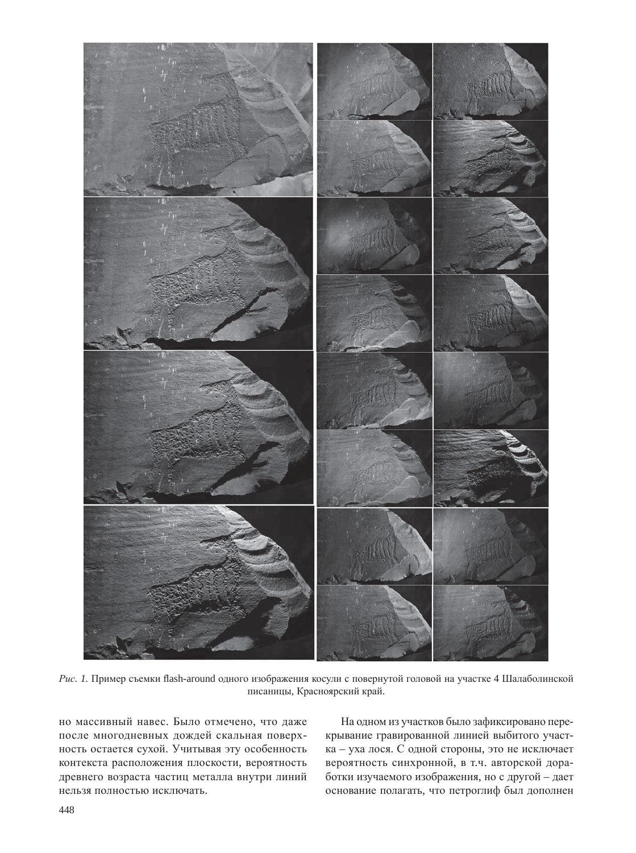

Рис. 1. Пример съемки flash-around одного изображения косули с повернутой головой на участке 4 Шалаболинской писаницы, Красноярский край.

но массивный навес. Было отмечено, что даже после многодневных дождей скальная поверхность остается сухой. Учитывая эту особенность контекста расположения плоскости, вероятность древнего возраста частиц металла внутри линий нельзя полностью исключать.

На одном из участков было зафиксировано перекрывание гравированной линией выбитого участка – уха лося. С одной стороны, это не исключает вероятность синхронной, в т.ч. авторской доработки изучаемого изображения, но с другой - дает основание полагать, что петроглиф был дополнен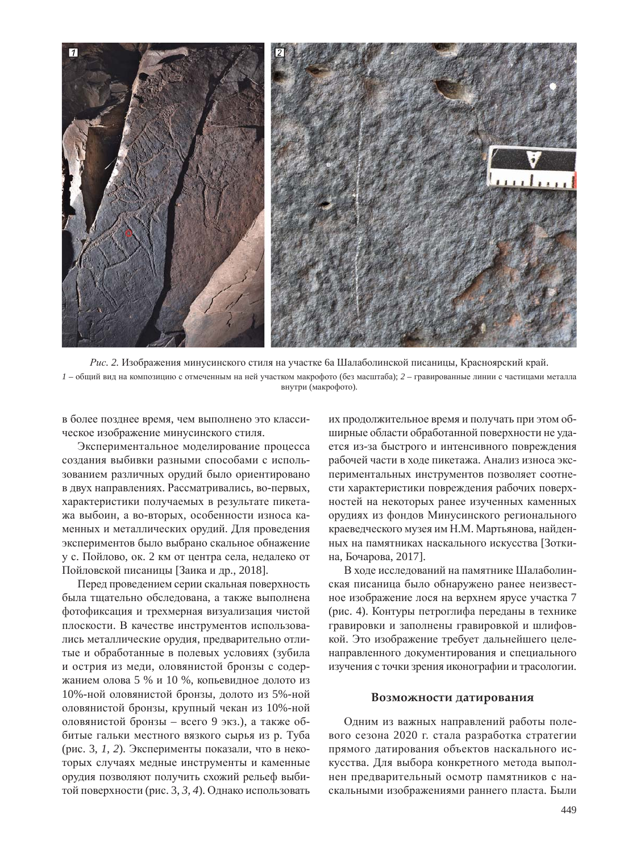

Рис. 2. Изображения минусинского стиля на участке ба Шалаболинской писаницы, Красноярский край.  $I$  – общий вид на композицию с отмеченным на ней участком макрофото (без масштаба);  $2$  – гравированные линии с частицами металла внутри (макрофото).

в более позднее время, чем выполнено это классическое изображение минусинского стиля.

Экспериментальное моделирование процесса создания выбивки разными способами с использованием различных орудий было ориентировано в двух направлениях. Рассматривались, во-первых, характеристики получаемых в результате пикетажа выбоин, а во-вторых, особенности износа каменных и металлических орудий. Для проведения экспериментов было выбрано скальное обнажение у с. Пойлово, ок. 2 км от центра села, недалеко от Пойловской писаницы [Заика и др., 2018].

Перед проведением серии скальная поверхность была тщательно обследована, а также выполнена фотофиксация и трехмерная визуализация чистой плоскости. В качестве инструментов использовались металлические орудия, предварительно отлитые и обработанные в полевых условиях (зубила и острия из меди, оловянистой бронзы с содержанием олова 5 % и 10 %, копьевидное долото из 10%-ной оловянистой бронзы, долото из 5%-ной оловянистой бронзы, крупный чекан из 10%-ной оловянистой бронзы – всего 9 экз.), а также оббитые гальки местного вязкого сырья из р. Туба (рис. 3, 1, 2). Эксперименты показали, что в некоторых случаях медные инструменты и каменные орудия позволяют получить схожий рельеф выбитой поверхности (рис. 3, 3, 4). Однако использовать

их продолжительное время и получать при этом обширные области обработанной поверхности не удается из-за быстрого и интенсивного повреждения рабочей части в холе пикетажа. Анализ износа экспериментальных инструментов позволяет соотнести характеристики повреждения рабочих поверхностей на некоторых ранее изученных каменных орудиях из фондов Минусинского регионального краеведческого музея им Н.М. Мартьянова, найденных на памятниках наскального искусства [Зоткина, Бочарова, 2017].

В ходе исследований на памятнике Шалаболинская писаница было обнаружено ранее неизвестное изображение лося на верхнем ярусе участка 7 (рис. 4). Контуры петроглифа переданы в технике гравировки и заполнены гравировкой и шлифовкой. Это изображение требует дальнейшего целенаправленного документирования и специального изучения с точки зрения иконографии и трасологии.

#### Возможности датирования

Одним из важных направлений работы полевого сезона 2020 г. стала разработка стратегии прямого датирования объектов наскального искусства. Для выбора конкретного метода выполнен предварительный осмотр памятников с наскальными изображениями раннего пласта. Были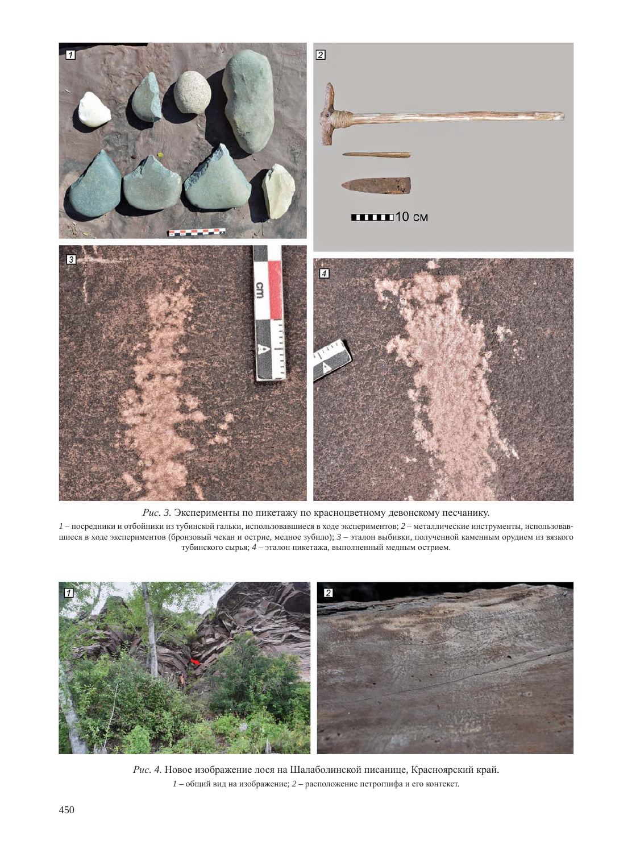

Рис. 3. Эксперименты по пикетажу по красноцветному девонскому песчанику.

 $1$  – посредники и отбойники из тубинской гальки, использовавшиеся в ходе экспериментов;  $2$  – металлические инструменты, использовавшиеся в ходе экспериментов (бронзовый чекан и острие, медное зубило); 3 - эталон выбивки, полученной каменным орудием из вязкого тубинского сырья; 4 – эталон пикетажа, выполненный медным острием.



Рис. 4. Новое изображение лося на Шалаболинской писанице, Красноярский край.  $1 -$ общий вид на изображение;  $2 -$  расположение петроглифа и его контекст.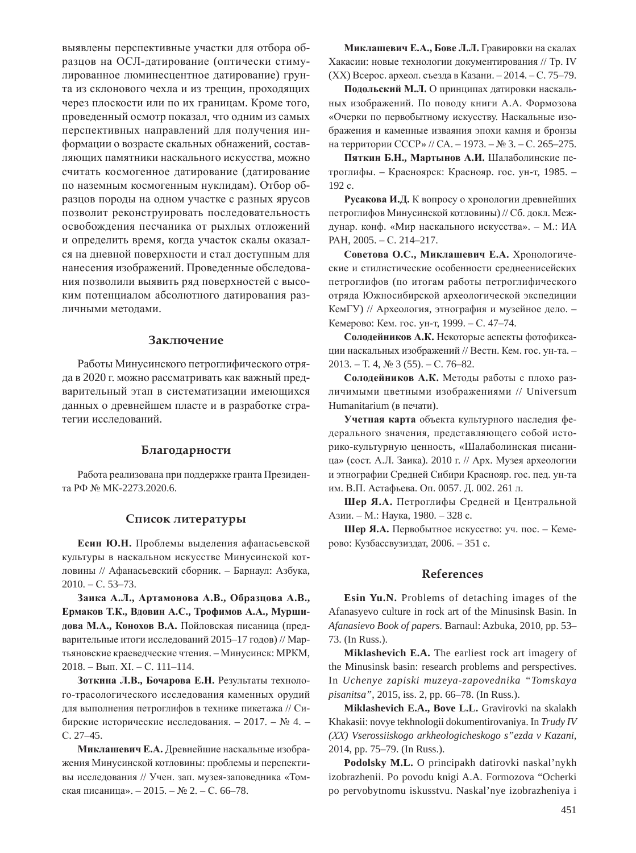выявлены перспективные участки для отбора образцов на ОСЛ-датирование (оптически стимулированное люминесцентное датирование) грунта из склонового чехла и из трещин, проходящих через плоскости или по их границам. Кроме того, проведенный осмотр показал, что одним из самых перспективных направлений для получения информации о возрасте скальных обнажений, составляющих памятники наскального искусства, можно считать космогенное датирование (датирование по наземным космогенным нуклидам). Отбор образцов породы на одном участке с разных ярусов позволит реконструировать последовательность освобождения песчаника от рыхлых отложений и определить время, когда участок скалы оказался на дневной поверхности и стал доступным для нанесения изображений. Проведенные обследования позволили выявить ряд поверхностей с высоким потенциалом абсолютного датирования различными методами.

# **Заключение**

Работы Минусинского петроглифического отряда в 2020 г. можно рассматривать как важный предварительный этап в систематизации имеющихся данных о древнейшем пласте и в разработке стратегии исследований.

### **Благодарности**

Работа реализована при поддержке гранта Президента РФ № МК-2273.2020.6.

# Список литературы

Есин Ю.Н. Проблемы выделения афанасьевской культуры в наскальном искусстве Минусинской котловины // Афанасьевский сборник. – Барнаул: Азбука,  $2010. - C. 53 - 73.$ 

Заика А.Л., Артамонова А.В., Образцова А.В., Ермаков Т.К., Вдовин А.С., Трофимов А.А., Муршидова М.А., Конохов В.А. Пойловская писаница (предварительные итоги исследований 2015–17 годов) // Мартьяновские краеведческие чтения. – Минусинск: МРКМ, 2018. – Вып. XI. – С. 111-114.

Зоткина Л.В., Бочарова Е.Н. Результаты технолого-трасологического исследования каменных орудий для выполнения петроглифов в технике пикетажа // Сибирские исторические исследования. – 2017. – № 4. – ɋ. 27–45.

Миклашевич Е.А. Древнейшие наскальные изображения Минусинской котловины: проблемы и перспективы исследования // Учен. зап. музея-заповедника «Томская писаница». – 2015. – № 2. – С. 66–78.

**Миклашевич Е.А., Бове Л.Л.** Гравировки на скалах Хакасии: новые технологии документирования // Тр. IV  $(XX)$  Всерос. археол. съезда в Казани. – 2014. – С. 75–79.

Подольский М.Л. О принципах датировки наскальных изображений. По поводу книги А.А. Формозова «Очерки по первобытному искусству. Наскальные изображения и каменные изваяния эпохи камня и бронзы на территории СССР» // СА. – 1973. – № 3. – С. 265–275.

Пяткин Б.Н., Мартынов А.И. Шалаболинские петроглифы. – Красноярск: Краснояр. гос. ун-т, 1985. – 192 c.

Русакова И.Д. К вопросу о хронологии древнейших петроглифов Минусинской котловины) // Сб. докл. Междунар. конф. «Мир наскального искусства». – М.: ИА PAH, 2005. – C. 214–217.

Советова О.С., Миклашевич Е.А. Хронологические и стилистические особенности среднеенисейских петроглифов (по итогам работы петроглифического отряда Южносибирской археологической экспедиции КемГУ) // Археология, этнография и музейное дело. -Кемерово: Кем. гос. ун-т, 1999. – С. 47–74.

Солодейников А.К. Некоторые аспекты фотофиксации наскальных изображений // Вестн. Кем. гос. ун-та. - $2013. - T. 4, N<sub>2</sub> 3 (55). - C. 76-82.$ 

Солодейников А.К. Методы работы с плохо различимыми цветными изображениями // Universum Humanitarium (в печати).

Учетная карта объекта культурного наследия федерального значения, представляющего собой историко-культурную ценность, «Шалаболинская писаница» (сост. А.Л. Заика). 2010 г. // Арх. Музея археологии и этнографии Средней Сибири Краснояр. гос. пед. ун-та им. В.П. Астафьева. Оп. 0057. Д. 002. 261 л.

**Шер Я.А.** Петроглифы Средней и Центральной Азии. – М.: Наука, 1980. – 328 с.

**Шер Я.А.** Первобытное искусство: уч. пос. – Кемерово: Кузбассвузиздат, 2006. – 351 с.

#### **References**

**Esin Yu.N.** Problems of detaching images of the Afanasyevo culture in rock art of the Minusinsk Basin. In *Afanasievo Book of papers.* Barnaul: Azbuka, 2010, pp. 53– 73. (In Russ.).

**Miklashevich E.A.** The earliest rock art imagery of the Minusinsk basin: research problems and perspectives. In *Uchenye zapiski muzeya-zapovednika "Tomskaya pisanitsa"*, 2015, iss. 2, pp. 66–78. (In Russ.).

**Miklashevich E.A., Bove L.L.** Gravirovki na skalakh Khakasii: novye tekhnologii dokumentirovaniya. In *Trudy IV (ɏɏ) Vserossiiskogo arkheologicheskogo s"ezda v Kazani,*  2014, pp. 75–79. (In Russ.).

Podolsky M.L. O principakh datirovki naskal'nykh izobrazhenii. Po povodu knigi A.A. Formozova "Ocherki po pervobytnomu iskusstvu. Naskal'nye izobrazheniya i